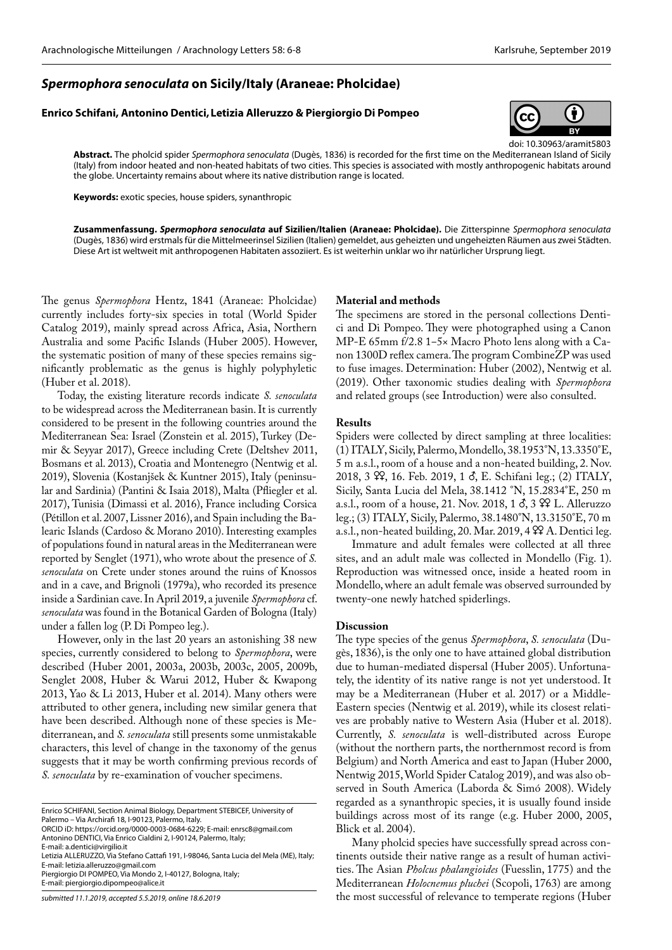# *Spermophora senoculata* **on Sicily/Italy (Araneae: Pholcidae)**

# **Enrico Schifani, Antonino Dentici,Letizia Alleruzzo & Piergiorgio Di Pompeo**



doi: 10.30963/aramit5803

**Abstract.** The pholcid spider *Spermophora senoculata* (Dugès, 1836) is recorded for the first time on the Mediterranean Island of Sicily (Italy) from indoor heated and non-heated habitats of two cities. This species is associated with mostly anthropogenic habitats around the globe. Uncertainty remains about where its native distribution range is located.

**Keywords:** exotic species, house spiders, synanthropic

**Zusammenfassung.** *Spermophora senoculata* **auf Sizilien/Italien (Araneae: Pholcidae).** Die Zitterspinne *Spermophora senoculata* (Dugès, 1836) wird erstmals für die Mittelmeerinsel Sizilien (Italien) gemeldet, aus geheizten und ungeheizten Räumen aus zwei Städten. Diese Art ist weltweit mit anthropogenen Habitaten assoziiert. Es ist weiterhin unklar wo ihr natürlicher Ursprung liegt.

The genus *Spermophora* Hentz, 1841 (Araneae: Pholcidae) currently includes forty-six species in total (World Spider Catalog 2019), mainly spread across Africa, Asia, Northern Australia and some Pacific Islands (Huber 2005). However, the systematic position of many of these species remains significantly problematic as the genus is highly polyphyletic (Huber et al. 2018).

Today, the existing literature records indicate *S. senoculata* to be widespread across the Mediterranean basin. It is currently considered to be present in the following countries around the Mediterranean Sea: Israel (Zonstein et al. 2015), Turkey (Demir & Seyyar 2017), Greece including Crete (Deltshev 2011, Bosmans et al. 2013), Croatia and Montenegro (Nentwig et al. 2019), Slovenia (Kostanjšek & Kuntner 2015), Italy (peninsular and Sardinia) (Pantini & Isaia 2018), Malta (Pfliegler et al. 2017), Tunisia (Dimassi et al. 2016), France including Corsica (Pétillon et al. 2007, Lissner 2016), and Spain including the Balearic Islands (Cardoso & Morano 2010). Interesting examples of populations found in natural areas in the Mediterranean were reported by Senglet (1971), who wrote about the presence of *S. senoculata* on Crete under stones around the ruins of Knossos and in a cave, and Brignoli (1979a), who recorded its presence inside a Sardinian cave. In April 2019, a juvenile *Spermophora* cf. *senoculata* was found in the Botanical Garden of Bologna (Italy) under a fallen log (P. Di Pompeo leg.).

However, only in the last 20 years an astonishing 38 new species, currently considered to belong to *Spermophora*, were described (Huber 2001, 2003a, 2003b, 2003c, 2005, 2009b, Senglet 2008, Huber & Warui 2012, Huber & Kwapong 2013, Yao & Li 2013, Huber et al. 2014). Many others were attributed to other genera, including new similar genera that have been described. Although none of these species is Mediterranean, and *S. senoculata* still presents some unmistakable characters, this level of change in the taxonomy of the genus suggests that it may be worth confirming previous records of *S. senoculata* by re-examination of voucher specimens.

ORCID iD: [https://orcid.org/0000-0003-0684-6229;](https://orcid.org/0000-0003-0684-6229) E-mail: enrsc8@gmail.com Antonino DENTICI, Via Enrico Cialdini 2, I-90124, Palermo, Italy;

E-mail: a.dentici@virgilio.it

Piergiorgio DI POMPEO, Via Mondo 2, I-40127, Bologna, Italy; E-mail: piergiorgio.dipompeo@alice.it

## **Material and methods**

The specimens are stored in the personal collections Dentici and Di Pompeo. They were photographed using a Canon MP-E 65mm  $f/2.8$  1–5× Macro Photo lens along with a Canon 1300D reflex camera. The program CombineZP was used to fuse images. Determination: Huber (2002), Nentwig et al. (2019). Other taxonomic studies dealing with *Spermophora* and related groups (see Introduction) were also consulted.

### **Results**

Spiders were collected by direct sampling at three localities: (1) ITALY, Sicily, Palermo, Mondello, 38.1953°N, 13.3350°E, 5 m a.s.l., room of a house and a non-heated building, 2. Nov. 2018, 3  $\mathfrak{P}$ , 16. Feb. 2019, 1  $\delta$ , E. Schifani leg.; (2) ITALY, Sicily, Santa Lucia del Mela, 38.1412 °N, 15.2834°E, 250 m a.s.l., room of a house, 21. Nov. 2018, 1  $\delta$ , 3  $\Omega$  L. Alleruzzo leg.; (3) ITALY, Sicily, Palermo, 38.1480°N, 13.3150°E, 70 m a.s.l., non-heated building, 20. Mar. 2019, 4  $99$  A. Dentici leg.

Immature and adult females were collected at all three sites, and an adult male was collected in Mondello (Fig. 1). Reproduction was witnessed once, inside a heated room in Mondello, where an adult female was observed surrounded by twenty-one newly hatched spiderlings.

#### **Discussion**

The type species of the genus *Spermophora*, *S. senoculata* (Dugès, 1836), is the only one to have attained global distribution due to human-mediated dispersal (Huber 2005). Unfortunately, the identity of its native range is not yet understood. It may be a Mediterranean (Huber et al. 2017) or a Middle-Eastern species (Nentwig et al. 2019), while its closest relatives are probably native to Western Asia (Huber et al. 2018). Currently, *S. senoculata* is well-distributed across Europe (without the northern parts, the northernmost record is from Belgium) and North America and east to Japan (Huber 2000, Nentwig 2015, World Spider Catalog 2019), and was also observed in South America (Laborda & Simó 2008). Widely regarded as a synanthropic species, it is usually found inside buildings across most of its range (e.g. Huber 2000, 2005, Blick et al. 2004).

Many pholcid species have successfully spread across continents outside their native range as a result of human activities. The Asian *Pholcus phalangioides* (Fuesslin, 1775) and the Mediterranean *Holocnemus pluchei* (Scopoli, 1763) are among the most successful of relevance to temperate regions (Huber

Enrico SCHIFANI, Section Animal Biology, Department STEBICEF, University of Palermo – Via Archirafi 18, I-90123, Palermo, Italy.

Letizia ALLERUZZO, Via Stefano Cattafi 191, I-98046, Santa Lucia del Mela (ME), Italy; E-mail: letizia.alleruzzo@gmail.com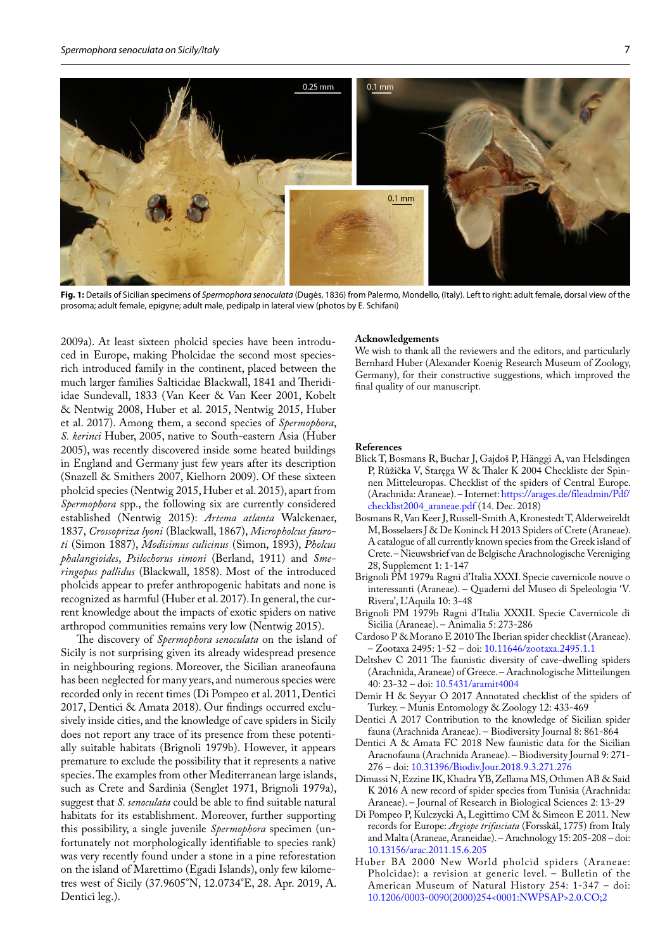

**Fig. 1:** Details of Sicilian specimens of *Spermophora senoculata* (Dugès, 1836) from Palermo, Mondello, (Italy). Left to right: adult female, dorsal view of the prosoma; adult female, epigyne; adult male, pedipalp in lateral view (photos by E. Schifani)

2009a). At least sixteen pholcid species have been introduced in Europe, making Pholcidae the second most speciesrich introduced family in the continent, placed between the much larger families Salticidae Blackwall, 1841 and Theridiidae Sundevall, 1833 (Van Keer & Van Keer 2001, Kobelt & Nentwig 2008, Huber et al. 2015, Nentwig 2015, Huber et al. 2017). Among them, a second species of *Spermophora*, *S. kerinci* Huber, 2005, native to South-eastern Asia (Huber 2005), was recently discovered inside some heated buildings in England and Germany just few years after its description (Snazell & Smithers 2007, Kielhorn 2009). Of these sixteen pholcid species (Nentwig 2015, Huber et al. 2015), apart from *Spermophora* spp., the following six are currently considered established (Nentwig 2015): *Artema atlanta* Walckenaer, 1837, *Crossopriza lyoni* (Blackwall, 1867), *Micropholcus fauroti* (Simon 1887), *Modisimus culicinus* (Simon, 1893), *Pholcus phalangioides*, *Psilochorus simoni* (Berland, 1911) and *Smeringopus pallidus* (Blackwall, 1858). Most of the introduced pholcids appear to prefer anthropogenic habitats and none is recognized as harmful (Huber et al. 2017). In general, the current knowledge about the impacts of exotic spiders on native arthropod communities remains very low (Nentwig 2015).

The discovery of *Spermophora senoculata* on the island of Sicily is not surprising given its already widespread presence in neighbouring regions. Moreover, the Sicilian araneofauna has been neglected for many years, and numerous species were recorded only in recent times (Di Pompeo et al. 2011, Dentici 2017, Dentici & Amata 2018). Our findings occurred exclusively inside cities, and the knowledge of cave spiders in Sicily does not report any trace of its presence from these potentially suitable habitats (Brignoli 1979b). However, it appears premature to exclude the possibility that it represents a native species. The examples from other Mediterranean large islands, such as Crete and Sardinia (Senglet 1971, Brignoli 1979a), suggest that *S. senoculata* could be able to find suitable natural habitats for its establishment. Moreover, further supporting this possibility, a single juvenile *Spermophora* specimen (unfortunately not morphologically identifiable to species rank) was very recently found under a stone in a pine reforestation on the island of Marettimo (Egadi Islands), only few kilometres west of Sicily (37.9605°N, 12.0734°E, 28. Apr. 2019, A. Dentici leg.).

#### **Acknowledgements**

We wish to thank all the reviewers and the editors, and particularly Bernhard Huber (Alexander Koenig Research Museum of Zoology, Germany), for their constructive suggestions, which improved the final quality of our manuscript.

#### **References**

- Blick T, Bosmans R, Buchar J, Gajdoš P, Hänggi A, van Helsdingen P, Růžička V, Staręga W & Thaler K 2004 Checkliste der Spinnen Mitteleuropas. Checklist of the spiders of Central Europe. (Arachnida: Araneae). – Internet: [https://arages.de/fileadmin/Pdf/](https://arages.de/fileadmin/Pdf/checklist2004_araneae.pdf) [checklist2004\\_araneae.pdf](https://arages.de/fileadmin/Pdf/checklist2004_araneae.pdf) (14. Dec. 2018)
- Bosmans R, Van Keer J, Russell-Smith A, Kronestedt T, Alderweireldt M, Bosselaers J & De Koninck H 2013 Spiders of Crete (Araneae). A catalogue of all currently known species from the Greek island of Crete. – Nieuwsbrief van de Belgische Arachnologische Vereniging 28, Supplement 1: 1-147
- Brignoli PM 1979a Ragni d'Italia XXXI. Specie cavernicole nouve o interessanti (Araneae). – Quaderni del Museo di Speleologia 'V. Rivera', L'Aquila 10: 3-48
- Brignoli PM 1979b Ragni d'Italia XXXII. Specie Cavernicole di Sicilia (Araneae). – Animalia 5: 273-286
- Cardoso P & Morano E 2010 The Iberian spider checklist (Araneae). – Zootaxa 2495: 1-52 – doi: [10.11646/zootaxa.2495.1.1](http://dx.doi.org/10.11646/zootaxa.2495.1.1)
- Deltshev C 2011 The faunistic diversity of cave-dwelling spiders (Arachnida, Araneae) of Greece. – Arachnologische Mitteilungen 40: 23-32 – doi: [10.5431/aramit4004](http://dx.doi.org/10.5431/aramit4004)
- Demir H & Seyyar O 2017 Annotated checklist of the spiders of Turkey. – Munis Entomology & Zoology 12: 433-469
- Dentici A 2017 Contribution to the knowledge of Sicilian spider fauna (Arachnida Araneae). – Biodiversity Journal 8: 861-864
- Dentici A & Amata FC 2018 New faunistic data for the Sicilian Aracnofauna (Arachnida Araneae). – Biodiversity Journal 9: 271- 276 – doi: [10.31396/Biodiv.Jour.2018.9.3.271.276](http://dx.doi.org/10.31396/Biodiv.Jour.2018.9.3.271.276)
- Dimassi N, Ezzine IK, Khadra YB, Zellama MS, Othmen AB & Said K 2016 A new record of spider species from Tunisia (Arachnida: Araneae). – Journal of Research in Biological Sciences 2: 13-29
- Di Pompeo P, Kulczycki A, Legittimo CM & Simeon E 2011. New records for Europe: *Argiope trifasciata* (Forsskål, 1775) from Italy and Malta (Araneae, Araneidae). – Arachnology 15: 205-208 – doi: [10.13156/arac.2011.15.6.205](http://dx.doi.org/10.13156/arac.2011.15.6.205)
- Huber BA 2000 New World pholcid spiders (Araneae: Pholcidae): a revision at generic level. – Bulletin of the American Museum of Natural History 254: 1-347 – doi: [10.1206/0003-0090\(2000\)254<0001:NWPSAP>2.0.CO;2](http://dx.doi.org/10.1206/0003-0090(2000)254<0001:NWPSAP>2.0.CO;2)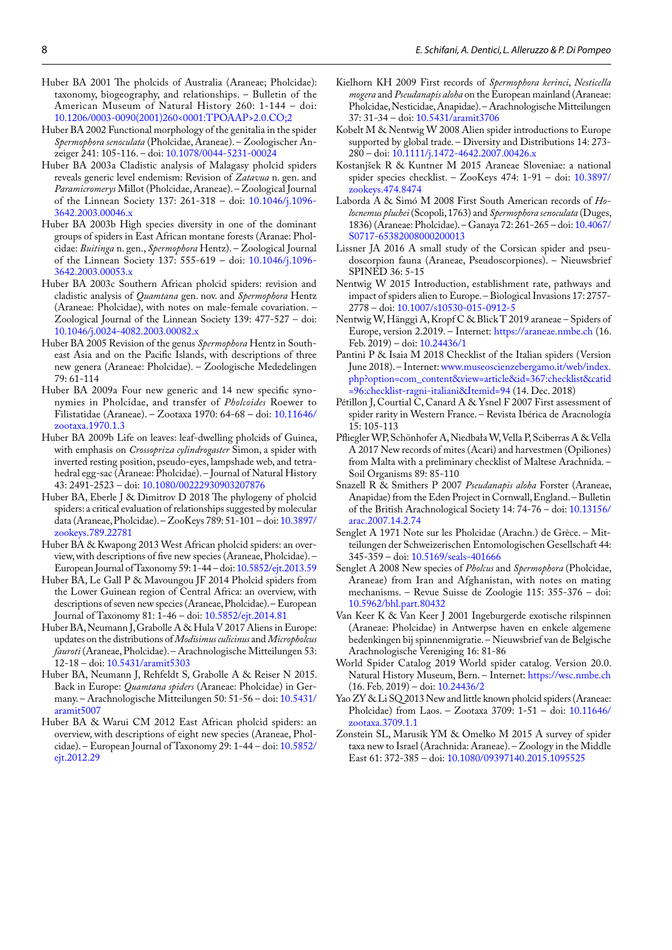- Huber BA 2001 The pholcids of Australia (Araneae; Pholcidae): taxonomy, biogeography, and relationships. – Bulletin of the American Museum of Natural History 260: 1-144 – doi: [10.1206/0003-0090\(2001\)260<0001:TPOAAP>2.0.CO;2](http://dx.doi.org/10.1206/0003-0090(2001)260<0001:TPOAAP>2.0.CO;2)
- Huber BA 2002 Functional morphology of the genitalia in the spider *Spermophora senoculata* (Pholcidae, Araneae). – Zoologischer Anzeiger 241: 105-116. – doi: [10.1078/0044-5231-00024](http://dx.doi.org/10.1078/0044-5231-00024)
- Huber BA 2003a Cladistic analysis of Malagasy pholcid spiders reveals generic level endemism: Revision of *Zatavua* n. gen. and *Paramicromerys* Millot (Pholcidae, Araneae). – Zoological Journal of the Linnean Society 137: 261-318 – doi: [10.1046/j.1096-](http://dx.doi.org/10.1046/j.1096-3642.2003.00046.x) [3642.2003.00046.x](http://dx.doi.org/10.1046/j.1096-3642.2003.00046.x)
- Huber BA 2003b High species diversity in one of the dominant groups of spiders in East African montane forests (Aranae: Pholcidae: *Buitinga* n. gen., *Spermophora* Hentz). – Zoological Journal of the Linnean Society 137: 555-619 – doi: [10.1046/j.1096-](http://dx.doi.org/10.1046/j.1096-3642.2003.00053.x) [3642.2003.00053.x](http://dx.doi.org/10.1046/j.1096-3642.2003.00053.x)
- Huber BA 2003c Southern African pholcid spiders: revision and cladistic analysis of *Quamtana* gen. nov. and *Spermophora* Hentz (Araneae: Pholcidae), with notes on male-female covariation. – Zoological Journal of the Linnean Society 139: 477-527 – doi: [10.1046/j.0024-4082.2003.00082.x](http://dx.doi.org/10.1046/j.0024-4082.2003.00082.x)
- Huber BA 2005 Revision of the genus *Spermophora* Hentz in Southeast Asia and on the Pacific Islands, with descriptions of three new genera (Araneae: Pholcidae). – Zoologische Mededelingen 79: 61-114
- Huber BA 2009a Four new generic and 14 new specific synonymies in Pholcidae, and transfer of *Pholcoides* Roewer to Filistatidae (Araneae). – Zootaxa 1970: 64-68 – doi: [10.11646/](http://dx.doi.org/10.11646/zootaxa.1970.1.3) [zootaxa.1970.1.3](http://dx.doi.org/10.11646/zootaxa.1970.1.3)
- Huber BA 2009b Life on leaves: leaf-dwelling pholcids of Guinea, with emphasis on *Crossopriza cylindrogaster* Simon, a spider with inverted resting position, pseudo-eyes, lampshade web, and tetrahedral egg-sac (Araneae: Pholcidae). – Journal of Natural History 43: 2491-2523 – doi: [10.1080/00222930903207876](http://dx.doi.org/10.1080/00222930903207876)
- Huber BA, Eberle J & Dimitrov D 2018 The phylogeny of pholcid spiders: a critical evaluation of relationships suggested by molecular data (Araneae, Pholcidae). – ZooKeys 789: 51-101 – doi: [10.3897/](http://dx.doi.org/10.3897/zookeys.789.22781) [zookeys.789.22781](http://dx.doi.org/10.3897/zookeys.789.22781)
- Huber BA & Kwapong 2013 West African pholcid spiders: an overview, with descriptions of five new species (Araneae, Pholcidae). – European Journal of Taxonomy 59: 1-44 – doi: [10.5852/ejt.2013.59](http://dx.doi.org/10.5852/ejt.2013.59)
- Huber BA, Le Gall P & Mavoungou JF 2014 Pholcid spiders from the Lower Guinean region of Central Africa: an overview, with descriptions of seven new species (Araneae, Pholcidae). – European Journal of Taxonomy 81: 1-46 – doi: [10.5852/ejt.2014.81](http://dx.doi.org/10.5852/ejt.2014.81)
- Huber BA, Neumann J, Grabolle A & Hula V 2017 Aliens in Europe: updates on the distributions of *Modisimus culicinus* and *Micropholcus fauroti* (Araneae, Pholcidae). – Arachnologische Mitteilungen 53: 12-18 – doi: [10.5431/aramit5303](http://dx.doi.org/10.5431/aramit5303)
- Huber BA, Neumann J, Rehfeldt S, Grabolle A & Reiser N 2015. Back in Europe: *Quamtana spiders* (Araneae: Pholcidae) in Germany. – Arachnologische Mitteilungen 50: 51-56 – doi: [10.5431/](http://dx.doi.org/10.5431/aramit5007) [aramit5007](http://dx.doi.org/10.5431/aramit5007)
- Huber BA & Warui CM 2012 East African pholcid spiders: an overview, with descriptions of eight new species (Araneae, Pholcidae). – European Journal of Taxonomy 29: 1-44 – doi: [10.5852/](http://dx.doi.org/10.5852/ejt.2012.29) [ejt.2012.29](http://dx.doi.org/10.5852/ejt.2012.29)
- Kielhorn KH 2009 First records of *Spermophora kerinci*, *Nesticella mogera* and *Pseudanapis aloha* on the European mainland (Araneae: Pholcidae, Nesticidae, Anapidae). – Arachnologische Mitteilungen 37: 31-34 – doi: [10.5431/aramit3706](http://dx.doi.org/10.5431/aramit3706)
- Kobelt M & Nentwig W 2008 Alien spider introductions to Europe supported by global trade. – Diversity and Distributions 14: 273- 280 – doi: [10.1111/j.1472-4642.2007.00426.x](http://dx.doi.org/10.1111/j.1472-4642.2007.00426.x)
- Kostanjšek R & Kuntner M 2015 Araneae Sloveniae: a national spider species checklist. – ZooKeys 474: 1-91 – doi: [10.3897/](http://dx.doi.org/10.3897/zookeys.474.8474) [zookeys.474.8474](http://dx.doi.org/10.3897/zookeys.474.8474)
- Laborda A & Simó M 2008 First South American records of *Holocnemus pluchei* (Scopoli, 1763) and *Spermophora senoculata* (Duges, 1836) (Araneae: Pholcidae). – Ganaya 72: 261-265 – doi: [10.4067/](10.4067/S0717-65382008000200013 ) [S0717-65382008000200013](10.4067/S0717-65382008000200013 )
- Lissner JA 2016 A small study of the Corsican spider and pseudoscorpion fauna (Araneae, Pseudoscorpiones). – Nieuwsbrief SPINED 36: 5-15
- Nentwig W 2015 Introduction, establishment rate, pathways and impact of spiders alien to Europe. – Biological Invasions 17: 2757- 2778 – doi: [10.1007/s10530-015-0912-5](http://dx.doi.org/10.1007/s10530-015-0912-5)
- Nentwig W, Hänggi A, Kropf C & Blick T 2019 araneae Spiders of Europe, version 2.2019. – Internet: [https://araneae.nmbe.ch](http://dx.doi.org/https://araneae.nmbe.ch) (16. Feb. 2019) – doi: [10.24436/1](http://dx.doi.org/10.24436/1)
- Pantini P & Isaia M 2018 Checklist of the Italian spiders (Version June 2018). – Internet: [www.museoscienzebergamo.it/web/index.](www.museoscienzebergamo.it/web/index.php?option=com_content&view=article&id=367:checklist&catid=96:checklist-ragni-italiani&Itemid=94 ) [php?option=com\\_content&view=article&id=367:checklist&catid](www.museoscienzebergamo.it/web/index.php?option=com_content&view=article&id=367:checklist&catid=96:checklist-ragni-italiani&Itemid=94 ) [=96:checklist-ragni-italiani&Itemid=94](www.museoscienzebergamo.it/web/index.php?option=com_content&view=article&id=367:checklist&catid=96:checklist-ragni-italiani&Itemid=94 ) (14. Dec. 2018)
- Pétillon J, Courtial C, Canard A & Ysnel F 2007 First assessment of spider rarity in Western France. – Revista Ibérica de Aracnología 15: 105-113
- Pfliegler WP, Schönhofer A, Niedbała W, Vella P, Sciberras A & Vella A 2017 New records of mites (Acari) and harvestmen (Opiliones) from Malta with a preliminary checklist of Maltese Arachnida. – Soil Organisms 89: 85-110
- Snazell R & Smithers P 2007 *Pseudanapis aloha* Forster (Araneae, Anapidae) from the Eden Project in Cornwall, England. – Bulletin of the British Arachnological Society 14: 74-76 – doi: [10.13156/](http://dx.doi.org/10.13156/arac.2007.14.2.74) [arac.2007.14.2.74](http://dx.doi.org/10.13156/arac.2007.14.2.74)
- Senglet A 1971 Note sur les Pholcidae (Arachn.) de Grèce. Mitteilungen der Schweizerischen Entomologischen Gesellschaft 44: 345-359 – [doi: 10.5169/seals-401666](http://dx.doi.org/10.5169/seals-401666)
- Senglet A 2008 New species of *Pholcus* and *Spermophora* (Pholcidae, Araneae) from Iran and Afghanistan, with notes on mating mechanisms. – Revue Suisse de Zoologie 115: 355-376 – doi: [10.5962/bhl.part.80432](http://dx.doi.org/10.5962/bhl.part.80432)
- Van Keer K & Van Keer J 2001 Ingeburgerde exotische rilspinnen (Araneae: Pholcidae) in Antwerpse haven en enkele algemene bedenkingen bij spinnenmigratie. – Nieuwsbrief van de Belgische Arachnologische Vereniging 16: 81-86
- World Spider Catalog 2019 World spider catalog. Version 20.0. Natural History Museum, Bern. – Internet: [https://wsc.nmbe.ch](https://wsc.nmbe.ch ) (16. Feb. 2019) – doi: [10.24436/2](http://dx.doi.org/10.24436/2)
- Yao ZY & Li SQ 2013 New and little known pholcid spiders (Araneae: Pholcidae) from Laos. – Zootaxa 3709: 1-51 – doi: [10.11646/](http://dx.doi.org/10.11646/zootaxa.3709.1.1) [zootaxa.3709.1.1](http://dx.doi.org/10.11646/zootaxa.3709.1.1)
- Zonstein SL, Marusik YM & Omelko M 2015 A survey of spider taxa new to Israel (Arachnida: Araneae). – Zoology in the Middle East 61: 372-385 – doi: [10.1080/09397140.2015.1095525](http://dx.doi.org/10.1080/09397140.2015.1095525)